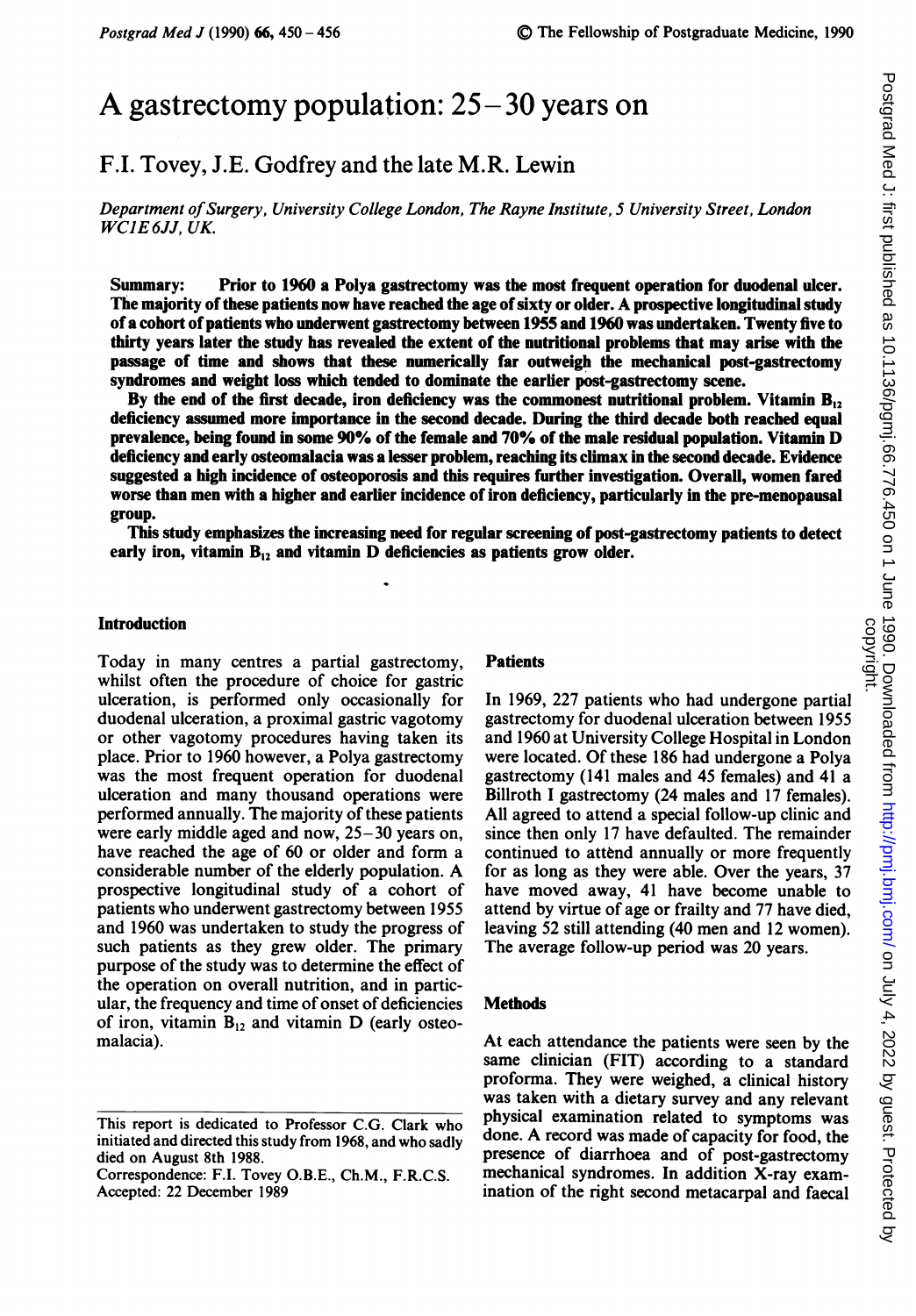# A gastrectomy population:  $25 - 30$  years on

## F.I. Tovey, J.E. Godfrey and the late M.R. Lewin

Department of Surgery, University College London, The Rayne Institute, 5 University Street, London WCJE6JJ, UK.

Summary: Prior to 1960 a Polya gastrectomy was the most frequent operation for duodenal ulcer. The majority of these patients now have reached the age of sixty or older. A prospective longitudinal study of a cohort of patients who underwent gastrectomy between 1955 and 1960 was undertaken. Twenty five to thirty years later the study has revealed the extent of the nutritional problems that may arise with the passage of time and shows that these numerically far outweigh the mechanical post-gastrectomy syndromes and weight loss which tended to dominate the earlier post-gastrectomy scene.

By the end of the first decade, iron deficiency was the commonest nutritional problem. Vitamin  $B_{12}$ deficiency assumed more importance in the second decade. During the third decade both reached equal prevalence, being found in some 90% of the female and 70% of the male residual population. Vitamin D deficiency and early osteomalacia was a lesser problem, reaching its climax in the second decade. Evidence suggested a high incidence of osteoporosis and this requires further investigation. Overall, women fared worse than men with a higher and earlier incidence of iron deficiency, particularly in the pre-menopausal group.

This study emphasizes the increasing need for regular screening of post-gastrectomy patients to detect early iron, vitamin  $B_{12}$  and vitamin D deficiencies as patients grow older.

## Introduction

Today in many centres a partial gastrectomy, whilst often the procedure of choice for gastric ulceration, is performed only occasionally for duodenal ulceration, a proximal gastric vagotomy or other vagotomy procedures having taken its place. Prior to 1960 however, a Polya gastrectomy was the most frequent operation for duodenal ulceration and many thousand operations were performed annually. The majority of these patients were early middle aged and now, 25-30 years on, have reached the age of 60 or older and form a considerable number of the elderly population. A prospective longitudinal study of a cohort of patients who underwent gastrectomy between 1955 and 1960 was undertaken to study the progress of such patients as they grew older. The primary purpose of the study was to determine the effect of the operation on overall nutrition, and in particular, the frequency and time of onset of deficiencies of iron, vitamin  $B_{12}$  and vitamin D (early osteomalacia).

#### **Patients**

In 1969, 227 patients who had undergone partial gastrectomy for duodenal ulceration between 1955 and 1960 at University College Hospital in London were located. Of these 186 had undergone a Polya gastrectomy (141 males and 45 females) and 41 a Billroth <sup>I</sup> gastrectomy (24 males and 17 females). All agreed to attend a special follow-up clinic and since then only 17 have defaulted. The remainder continued to attend annually or more frequently for as long as they were able. Over the years, 37 have moved away, 41 have become unable to attend by virtue of age or frailty and 77 have died, leaving 52 still attending (40 men and <sup>12</sup> women). The average follow-up period was 20 years.

#### **Methods**

At each attendance the patients were seen by the same clinician (FIT) according to a standard proforma. They were weighed, a clinical history was taken with a dietary survey and any relevant physical examination related to symptoms was done. A record was made of capacity for food, the presence of diarrhoea and of post-gastrectomy mechanical syndromes. In addition X-ray examination of the right second metacarpal and faecal

This report is dedicated to Professor C.G. Clark who initiated and directed this study from 1968, and who sadly died on August 8th 1988.

Correspondence: F.I. Tovey O.B.E., Ch.M., F.R.C.S. Accepted: 22 December 1989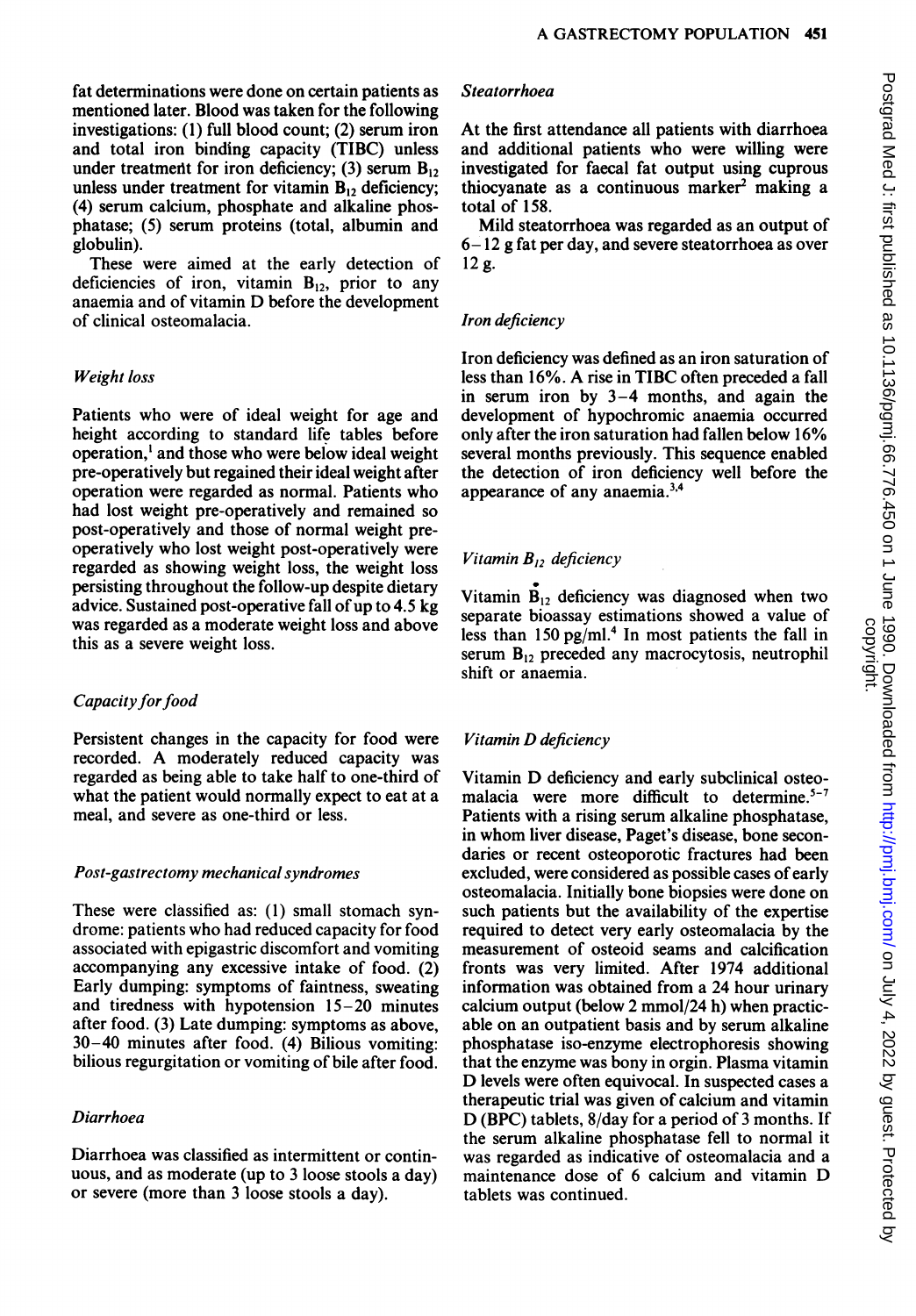fat determinations were done on certain patients as mentioned later. Blood was taken for the following investigations: (1) full blood count; (2) serum iron and total iron binding capacity (TIBC) unless under treatment for iron deficiency; (3) serum  $B_{12}$ unless under treatment for vitamin  $B_{12}$  deficiency; (4) serum calcium, phosphate and alkaline phosphatase; (5) serum proteins (total, albumin and globulin).

These were aimed at the early detection of deficiencies of iron, vitamin  $B_{12}$ , prior to any anaemia and of vitamin D before the development of clinical osteomalacia.

## Weight loss

Patients who were of ideal weight for age and height according to standard life tables before operation,' and those who were below ideal weight pre-operatively but regained their ideal weight after operation were regarded as normal. Patients who had lost weight pre-operatively and remained so post-operatively and those of normal weight preoperatively who lost weight post-operatively were regarded as showing weight loss, the weight loss persisting throughout the follow-up despite dietary advice. Sustained post-operative fall of up to 4.5 kg was regarded as a moderate weight loss and above this as a severe weight loss.

## Capacity for food

Persistent changes in the capacity for food were recorded. A moderately reduced capacity was regarded as being able to take half to one-third of what the patient would normally expect to eat at a meal, and severe as one-third or less.

#### Post-gastrectomy mechanical syndromes

These were classified as: (1) small stomach syndrome: patients who had reduced capacity for food associated with epigastric discomfort and vomiting accompanying any excessive intake of food. (2) Early dumping: symptoms of faintness, sweating and tiredness with hypotension 15-20 minutes after food. (3) Late dumping: symptoms as above, 30-40 minutes after food. (4) Bilious vomiting: bilious regurgitation or vomiting of bile after food.

## Diarrhoea

Diarrhoea was classified as intermittent or continuous, and as moderate (up to 3 loose stools a day) or severe (more than 3 loose stools a day).

#### Steatorrhoea

At the first attendance all patients with diarrhoea and additional patients who were willing were investigated for faecal fat output using cuprous thiocyanate as a continuous marker' making a total of 158.

Mild steatorrhoea was regarded as an output of 6- 12 g fat per day, and severe steatorrhoea as over 12g.

#### Iron deficiency

Iron deficiency was defined as an iron saturation of less than 16%. A rise in TIBC often preceded <sup>a</sup> fall in serum iron by 3-4 months, and again the development of hypochromic anaemia occurred only after the iron saturation had fallen below 16% several months previously. This sequence enabled the detection of iron deficiency well before the appearance of any anaemia.<sup>3,4</sup>

## Vitamin  $B_{12}$  deficiency

Vitamin  $B_{12}$  deficiency was diagnosed when two separate bioassay estimations showed a value of less than  $150$  pg/ml.<sup>4</sup> In most patients the fall in serum  $B_{12}$  preceded any macrocytosis, neutrophil shift or anaemia.

## Vitamin D deficiency

Vitamin D deficiency and early subclinical osteomalacia were more difficult to determine.<sup>5-7</sup> Patients with a rising serum alkaline phosphatase, in whom liver disease, Paget's disease, bone secondaries or recent osteoporotic fractures had been excluded, were considered as possible cases of early osteomalacia. Initially bone biopsies were done on such patients but the availability of the expertise required to detect very early osteomalacia by the measurement of osteoid seams and calcification fronts was very limited. After 1974 additional information was obtained from a 24 hour urinary calcium output (below 2 mmol/24 h) when practicable on an outpatient basis and by serum alkaline phosphatase iso-enzyme electrophoresis showing that the enzyme was bony in orgin. Plasma vitamin D levels were often equivocal. In suspected cases <sup>a</sup> therapeutic trial was given of calcium and vitamin D (BPC) tablets, 8/day for <sup>a</sup> period of <sup>3</sup> months. If the serum alkaline phosphatase fell to normal it was regarded as indicative of osteomalacia and a maintenance dose of <sup>6</sup> calcium and vitamin D tablets was continued.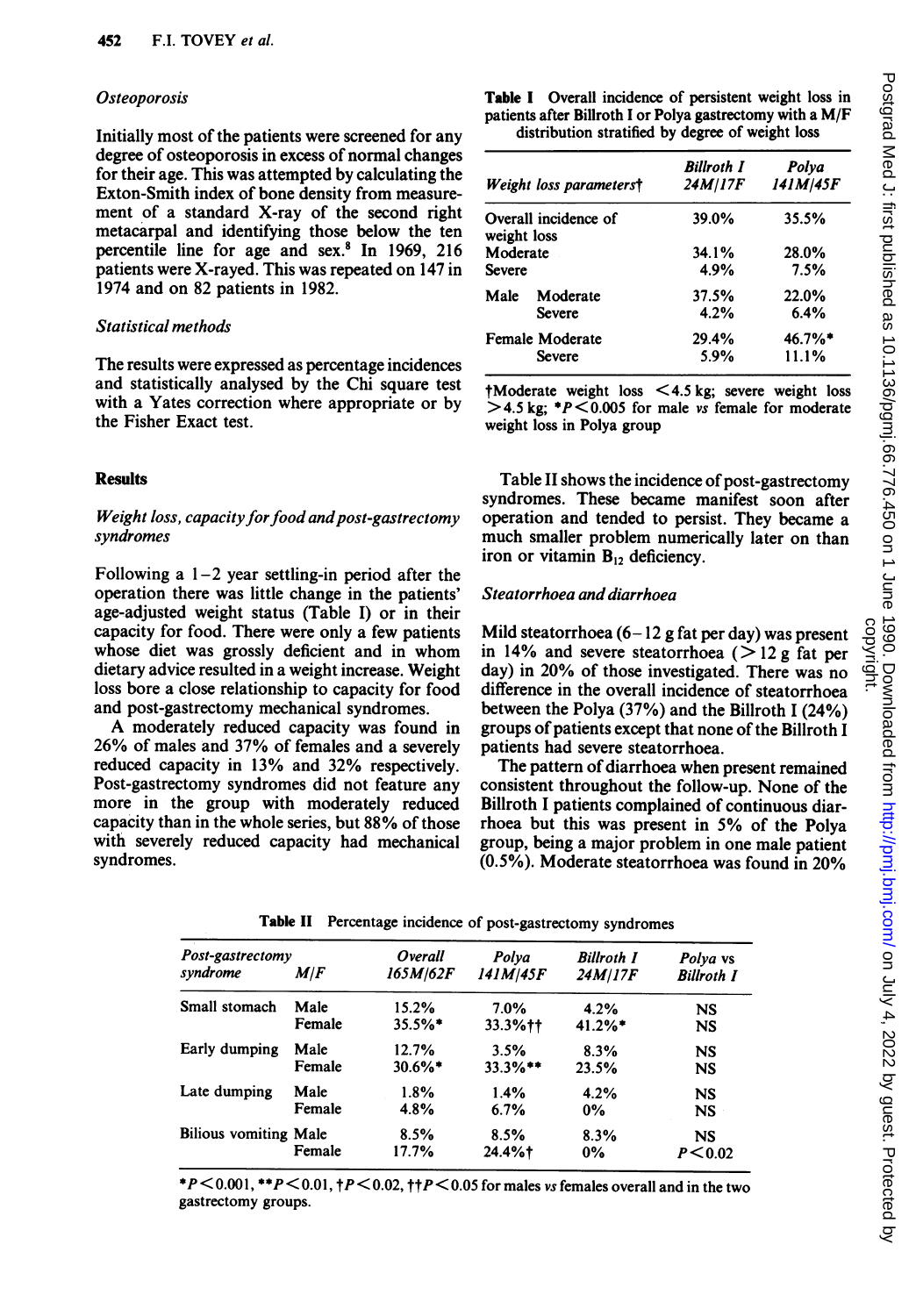## **Osteoporosis**

Initially most of the patients were screened for any degree of osteoporosis in excess of normal changes for their age. This was attempted by calculating the Exton-Smith index of bone density from measurement of a standard X-ray of the second right metacarpal and identifying those below the ten percentile line for age and sex.8 In 1969, 216 patients were X-rayed. This was repeated on 147 in 1974 and on 82 patients in 1982.

## Statistical methods

The results were expressed as percentage incidences and statistically analysed by the Chi square test with a Yates correction where appropriate or by the Fisher Exact test.

## **Results**

## Weight loss, capacity for food and post-gastrectomy syndromes

Following a  $1-2$  year settling-in period after the operation there was little change in the patients' age-adjusted weight status (Table I) or in their capacity for food. There were only a few patients whose diet was grossly deficient and in whom dietary advice resulted in a weight increase. Weight loss bore a close relationship to capacity for food and post-gastrectomy mechanical syndromes.

A moderately reduced capacity was found in 26% of males and 37% of females and a severely reduced capacity in 13% and 32% respectively. Post-gastrectomy syndromes did not feature any more in the group with moderately reduced capacity than in the whole series, but 88% of those with severely reduced capacity had mechanical syndromes.

Table <sup>I</sup> Overall incidence of persistent weight loss in patients after Billroth <sup>I</sup> or Polya gastrectomy with a M/F distribution stratified by degree of weight loss

| Weight loss parameterst |                      | <b>Billroth I</b><br>24M/17F | Polya<br>141M/45F |  |  |
|-------------------------|----------------------|------------------------------|-------------------|--|--|
| weight loss             | Overall incidence of | 39.0%                        | 35.5%             |  |  |
| Moderate                |                      | 34.1%                        | 28.0%             |  |  |
| <b>Severe</b>           |                      | 4.9%                         | 7.5%              |  |  |
| Male                    | Moderate             | 37.5%                        | 22.0%             |  |  |
|                         | Severe               | 4.2%                         | 6.4%              |  |  |
| <b>Female Moderate</b>  |                      | 29.4%                        | 46.7%*            |  |  |
|                         | <b>Severe</b>        | 5.9%                         | 11.1%             |  |  |

tModerate weight loss <4.5 kg; severe weight loss  $>$  4.5 kg; \*P  $<$  0.005 for male vs female for moderate weight loss in Polya group

Table II shows the incidence of post-gastrectomy syndromes. These became manifest soon after operation and tended to persist. They became a much smaller problem numerically later on than iron or vitamin  $B_{12}$  deficiency.

## Steatorrhoea and diarrhoea

Mild steatorrhoea  $(6 - 12$  g fat per day) was present in 14% and severe steatorrhoea ( $> 12$  g fat per day) in 20% of those investigated. There was no difference in the overall incidence of steatorrhoea between the Polya (37%) and the Billroth 1 (24%) groups of patients except that none of the Billroth I patients had severe steatorrhoea.

The pattern of diarrhoea when present remained consistent throughout the follow-up. None of the Billroth <sup>I</sup> patients complained of continuous diarrhoea but this was present in 5% of the Polya group, being a major problem in one male patient (0.5%). Moderate steatorrhoea was found in 20%

| Post-gastrectomy             | Overall    | Polya      | <b>Billroth I</b> | Polya vs          |
|------------------------------|------------|------------|-------------------|-------------------|
| M/F                          | 165M/62F   | 141M/45F   | 24M/17F           | <b>Billroth I</b> |
| Male                         | 15.2%      | 7.0%       | 4.2%              | <b>NS</b>         |
| Female                       | $35.5\%$ * | 33.3%++    | $41.2%$ *         | <b>NS</b>         |
| Male                         | 12.7%      | 3.5%       | 8.3%              | <b>NS</b>         |
| Female                       | $30.6\%$ * | $33.3\%**$ | 23.5%             | <b>NS</b>         |
| Male                         | 1.8%       | 1.4%       | 4.2%              | <b>NS</b>         |
| Female                       | 4.8%       | 6.7%       | $0\%$             | NS                |
| <b>Bilious vomiting Male</b> | 8.5%       | 8.5%       | 8.3%              | <b>NS</b>         |
| Female                       | 17.7%      | 24.4%      | 0%                | P < 0.02          |
|                              |            |            |                   |                   |

Table II Percentage incidence of post-gastrectomy syndromes

\*P  $\leq$  0.001, \*\*P  $\leq$  0.01,  $\uparrow$  P  $\leq$  0.02,  $\uparrow$  P  $\leq$  0.05 for males vs females overall and in the two gastrectomy groups.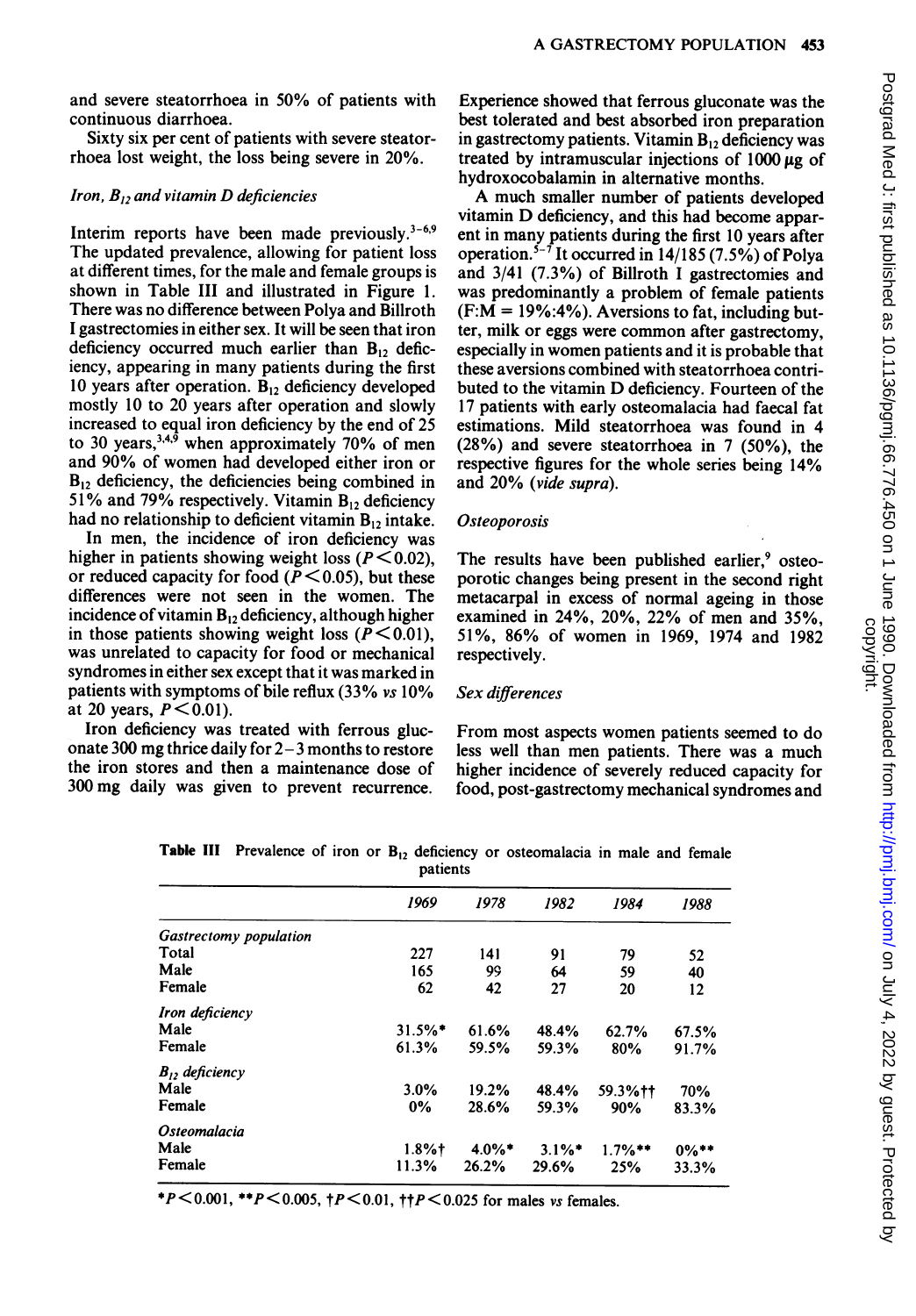and severe steatorrhoea in 50% of patients with continuous diarrhoea.

Sixty six per cent of patients with severe steatorrhoea lost weight, the loss being severe in 20%.

#### Iron,  $B_{12}$  and vitamin D deficiencies

Interim reports have been made previously. $3-6.9$ The updated prevalence, allowing for patient loss at different times, for the male and female groups is shown in Table III and illustrated in Figure 1. There was no difference between Polya and Billroth <sup>I</sup> gastrectomies in either sex. It will be seen that iron deficiency occurred much earlier than  $B_{12}$  deficiency, appearing in many patients during the first 10 years after operation.  $B_{12}$  deficiency developed mostly 10 to 20 years after operation and slowly increased to equal iron deficiency by the end of 25 to 30 years,<sup>3,4,6</sup> when approximately 70% of men and 90% of women had developed either iron or  $B_{12}$  deficiency, the deficiencies being combined in 51% and 79% respectively. Vitamin  $B_{12}$  deficiency had no relationship to deficient vitamin  $B_{12}$  intake.

In men, the incidence of iron deficiency was higher in patients showing weight loss ( $P \le 0.02$ ), or reduced capacity for food ( $\bar{P}$  < 0.05), but these differences were not seen in the women. The incidence of vitamin  $B_{12}$  deficiency, although higher in those patients showing weight loss ( $P \le 0.01$ ), was unrelated to capacity for food or mechanical syndromes in either sex except that it was marked in patients with symptoms of bile reflux (33% vs 10% at 20 years,  $P \le 0.01$ ).

Iron deficiency was treated with ferrous gluconate 300 mg thrice daily for  $2-3$  months to restore the iron stores and then a maintenance dose of 300 mg daily was given to prevent recurrence.

Experience showed that ferrous gluconate was the best tolerated and best absorbed iron preparation in gastrectomy patients. Vitamin  $B_{12}$  deficiency was treated by intramuscular injections of  $1000 \mu g$  of hydroxocobalamin in alternative months.

A much smaller number of patients developed vitamin D deficiency, and this had become apparent in many patients during the first 10 years after operation.<sup>5-7</sup> It occurred in  $14/185$  (7.5%) of Polya and 3/41 (7.3%) of Billroth <sup>I</sup> gastrectomies and was predominantly a problem of female patients  $(F:M = 19\% : 4\%)$ . Aversions to fat, including butter, milk or eggs were common after gastrectomy, especially in women patients and it is probable that these aversions combined with steatorrhoea contributed to the vitamin D deficiency. Fourteen of the 17 patients with early osteomalacia had faecal fat estimations. Mild steatorrhoea was found in 4 (28%) and severe steatorrhoea in 7 (50%), the respective figures for the whole series being 14% and 20% (vide supra).

#### **Osteoporosis**

The results have been published earlier,<sup>9</sup> osteoporotic changes being present in the second right metacarpal in excess of normal ageing in those examined in 24%, 20%, 22% of men and 35%, 51%, 86% of women in 1969, 1974 and 1982 respectively.

#### Sex differences

From most aspects women patients seemed to do less well than men patients. There was a much higher incidence of severely reduced capacity for food, post-gastrectomy mechanical syndromes and

|  |  |  |          | Table III Prevalence of iron or $B_{12}$ deficiency or osteomalacia in male and female |  |  |
|--|--|--|----------|----------------------------------------------------------------------------------------|--|--|
|  |  |  | patients |                                                                                        |  |  |

|                               | 1969                  | 1978      | 1982                 | 1984       | 1988     |
|-------------------------------|-----------------------|-----------|----------------------|------------|----------|
| <b>Gastrectomy population</b> |                       |           |                      |            |          |
| Total                         | 227                   | 141       | 91                   | 79         | 52       |
| Male                          | 165                   | 99        | 64                   | 59         | 40       |
| Female                        | 62                    | 42        | 27                   | 20         | 12       |
| Iron deficiency               |                       |           |                      |            |          |
| Male                          | $31.5\%$ <sup>*</sup> | 61.6%     | 48.4%                | 62.7%      | 67.5%    |
| Female                        | 61.3%                 | 59.5%     | 59.3%                | 80%        | 91.7%    |
| $B_{12}$ deficiency           |                       |           |                      |            |          |
| Male                          | 3.0%                  | 19.2%     | 48.4%                | 59.3%++    | 70%      |
| Female                        | 0%                    | 28.6%     | 59.3%                | 90%        | 83.3%    |
| <i><b>Osteomalacia</b></i>    |                       |           |                      |            |          |
| Male                          | $1.8%$ †              | $4.0\%$ * | $3.1\%$ <sup>*</sup> | $1.7\%$ ** | $0\%$ ** |
| Female                        | 11.3%                 | 26.2%     | 29.6%                | 25%        | 33.3%    |

\*P<0.001, \*\*P<0.005,  $p$  <0.01,  $p$  +P <0.025 for males vs females.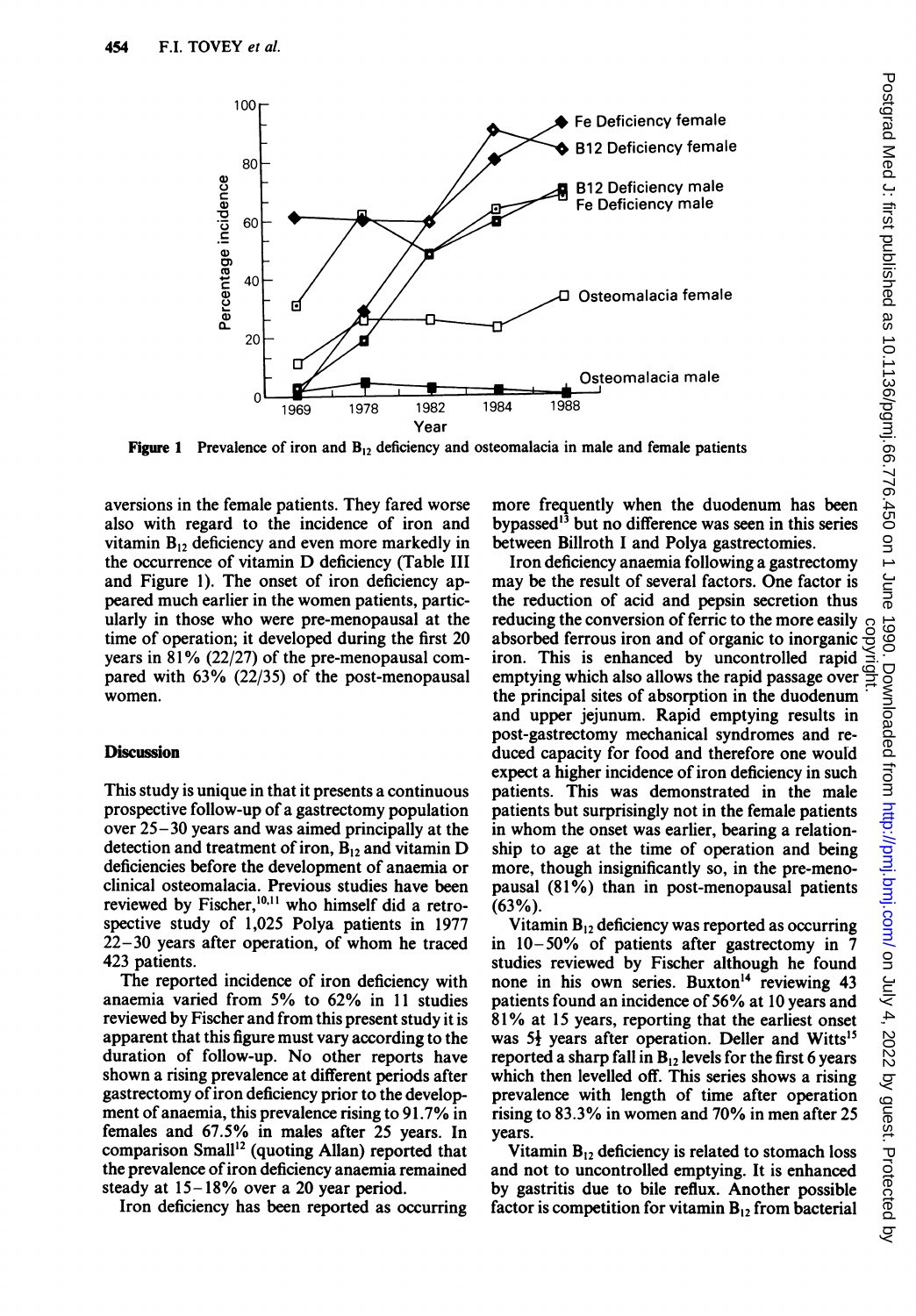

**Figure 1** Prevalence of iron and  $B_{12}$  deficiency and osteomalacia in male and female patients

aversions in the female patients. They fared worse also with regard to the incidence of iron and vitamin  $B_{12}$  deficiency and even more markedly in the occurrence of vitamin D deficiency (Table III and Figure 1). The onset of iron deficiency appeared much earlier in the women patients, particularly in those who were pre-menopausal at the time of operation; it developed during the first 20 years in 81% (22/27) of the pre-menopausal compared with 63% (22/35) of the post-menopausal women.

#### **Discussion**

This study is unique in that it presents a continuous prospective follow-up of a gastrectomy population over  $25 - 30$  years and was aimed principally at the detection and treatment of iron,  $B_{12}$  and vitamin D deficiencies before the development of anaemia or clinical osteomalacia. Previous studies have been reviewed by Fischer,<sup>10,11</sup> who himself did a retrospective study of 1,025 Polya patients in 1977 22-30 years after operation, of whom he traced 423 patients.

The reported incidence of iron deficiency with anaemia varied from 5% to 62% in <sup>11</sup> studies reviewed by Fischer and from this present study it is apparent that this figure must vary according to the duration of follow-up. No other reports have shown a rising prevalence at different periods after gastrectomy of iron deficiency prior to the development of anaemia, this prevalence rising to 91.7% in females and 67.5% in males after 25 years. In comparison Small<sup>12</sup> (quoting Allan) reported that the prevalence of iron deficiency anaemia remained steady at 15-18% over a 20 year period.

Iron deficiency has been reported as occurring

more frequently when the duodenum has been bypassed'3 but no difference was seen in this series between Billroth <sup>I</sup> and Polya gastrectomies.

Iron deficiency anaemia following a gastrectomy may be the result of several factors. One factor is the reduction of acid and pepsin secretion thus reducing the conversion of ferric to the more easily absorbed ferrous iron and of organic to inorganic iron. This is enhanced by uncontrolled rapid emptying which also allows the rapid passage over  $\equiv$ the principal sites of absorption in the duodenum and upper jejunum. Rapid emptying results in post-gastrectomy mechanical syndromes and reduced capacity for food and therefore one would expect a higher incidence of iron deficiency in such patients. This was demonstrated in the male patients but surprisingly not in the female patients in whom the onset was earlier, bearing a relationship to age at the time of operation and being more, though insignificantly so, in the pre-menopausal (81%) than in post-menopausal patients (63%).

Vitamin  $B_{12}$  deficiency was reported as occurring in 10-50% of patients after gastrectomy in 7 studies reviewed by Fischer although he found none in his own series. Buxton'4 reviewing <sup>43</sup> patients found an incidence of 56% at <sup>10</sup> years and 81% at <sup>15</sup> years, reporting that the earliest onset was  $5\frac{1}{2}$  years after operation. Deller and Witts<sup>15</sup> reported a sharp fall in  $B_{12}$  levels for the first 6 years which then levelled off. This series shows a rising prevalence with length of time after operation rising to 83.3% in women and 70% in men after 25 years.

Vitamin  $B_{12}$  deficiency is related to stomach loss and not to uncontrolled emptying. It is enhanced by gastritis due to bile reflux. Another possible factor is competition for vitamin  $B_{12}$  from bacterial

copyright.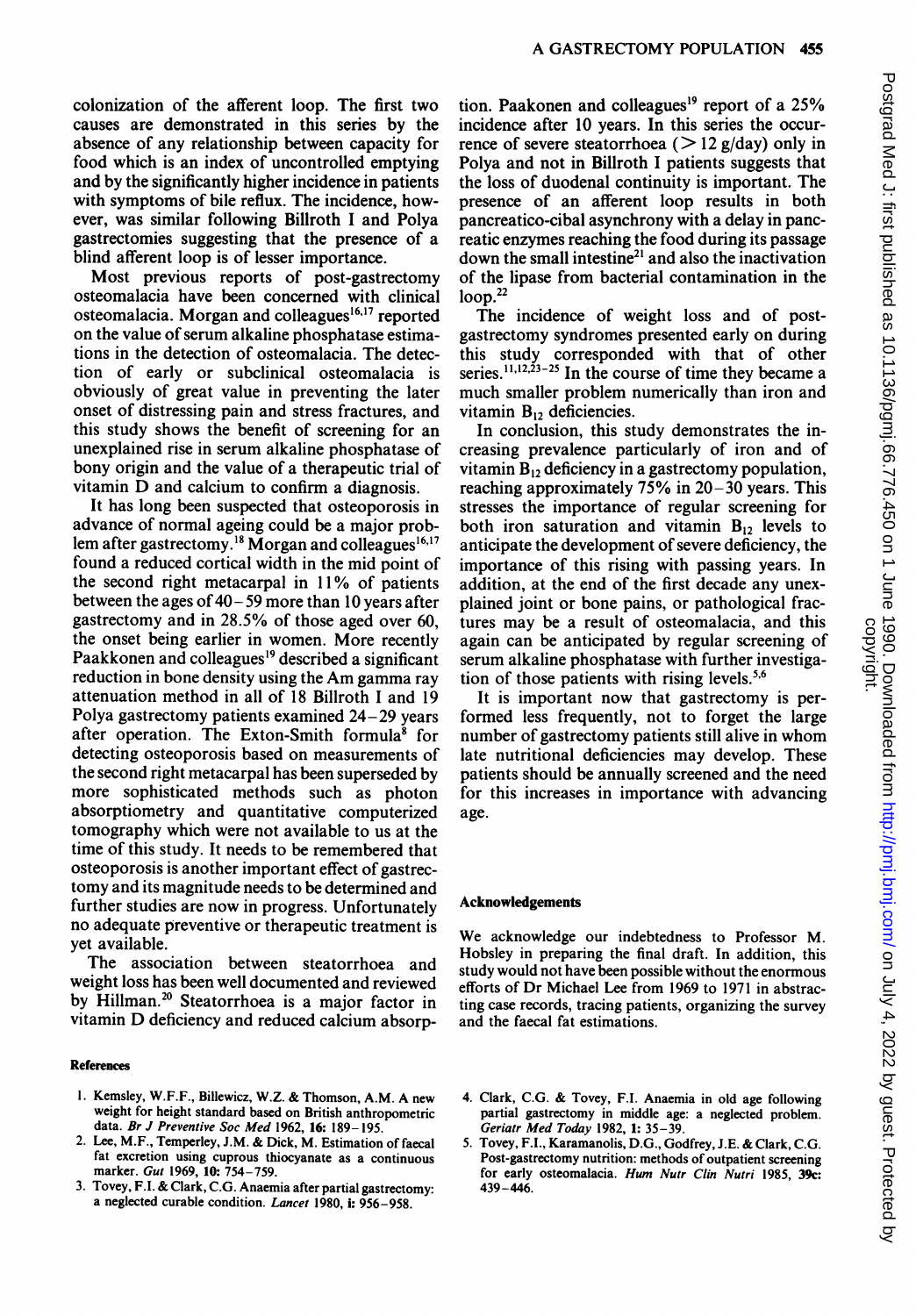colonization of the afferent loop. The first two causes are demonstrated in this series by the absence of any relationship between capacity for food which is an index of uncontrolled emptying and by the significantly higher incidence in patients with symptoms of bile reflux. The incidence, however, was similar following Billroth <sup>I</sup> and Polya gastrectomies suggesting that the presence of a blind afferent loop is of lesser importance.

Most previous reports of post-gastrectomy osteomalacia have been concerned with clinical osteomalacia. Morgan and colleagues $16,17$  reported on the value of serum alkaline phosphatase estimations in the detection of osteomalacia. The detection of early or subclinical osteomalacia is obviously of great value in preventing the later onset of distressing pain and stress fractures, and this study shows the benefit of screening for an unexplained rise in serum alkaline phosphatase of bony origin and the value of a therapeutic trial of vitamin D and calcium to confirm <sup>a</sup> diagnosis.

It has long been suspected that osteoporosis in advance of normal ageing could be a major problem after gastrectomy.<sup>18</sup> Morgan and colleagues<sup>16,17</sup> found a reduced cortical width in the mid point of the second right metacarpal in 11% of patients between the ages of  $40-59$  more than 10 years after gastrectomy and in 28.5% of those aged over 60, the onset being earlier in women. More recently Paakkonen and colleagues<sup>19</sup> described a significant reduction in bone density using the Am gamma ray attenuation method in all of 18 Billroth <sup>I</sup> and 19 Polya gastrectomy patients examined 24-29 years after operation. The Exton-Smith formula<sup>8</sup> for detecting osteoporosis based on measurements of the second right metacarpal has been superseded by more sophisticated methods such as photon absorptiometry and quantitative computerized tomography which were not available to us at the time of this study. It needs to be remembered that osteoporosis is another important effect of gastrectomy and its magnitude needs to be determined and further studies are now in progress. Unfortunately no adequate preventive or therapeutic treatment is yet available.

The association between steatorrhoea and weight loss has been well documented and reviewed by Hillman.<sup>20</sup> Steatorrhoea is a major factor in vitamin D deficiency and reduced calcium absorp-

#### References

- 1. Kemsley, W.F.F., Billewicz, W.Z. & Thomson, A.M. A new weight for height standard based on British anthropometric data. Br J Preventive Soc Med 1962, 16: 189-195.
- 2. Lee, M.F., Temperley, J.M. & Dick, M. Estimation of faecal fat excretion using cuprous thiocyanate as a continuous marker. Gut 1969, 10: 754-759.
- 3. Tovey, F.I. & Clark, C.G. Anaemia after partial gastrectomy: a neglected curable condition. Lancet 1980, i: 956-958.

tion. Paakonen and colleagues'9 report of a 25% incidence after 10 years. In this series the occurrence of severe steatorrhoea ( $> 12$  g/day) only in Polya and not in Billroth <sup>I</sup> patients suggests that the loss of duodenal continuity is important. The presence of an afferent loop results in both pancreatico-cibal asynchrony with a delay in pancreatic enzymes reaching the food during its passage down the small intestine<sup>21</sup> and also the inactivation of the lipase from bacterial contamination in the  $loop.<sup>22</sup>$ 

The incidence of weight loss and of postgastrectomy syndromes presented early on during this study corresponded with that of other series. $^{11,12,\tilde{2}3-25}$  In the course of time they became a much smaller problem numerically than iron and vitamin  $B_{12}$  deficiencies.

In conclusion, this study demonstrates the increasing prevalence particularly of iron and of vitamin  $B_{12}$  deficiency in a gastrectomy population, reaching approximately 75% in 20-30 years. This stresses the importance of regular screening for both iron saturation and vitamin  $B_{12}$  levels to anticipate the development of severe deficiency, the importance of this rising with passing years. In addition, at the end of the first decade any unexplained joint or bone pains, or pathological fractures may be a result of osteomalacia, and this again can be anticipated by regular screening of serum alkaline phosphatase with further investigation of those patients with rising levels. $5.6$ 

It is important now that gastrectomy is performed less frequently, not to forget the large number of gastrectomy patients still alive in whom late nutritional deficiencies may develop. These patients should be annually screened and the need for this increases in importance with advancing age.

#### Acknowledgements

We acknowledge our indebtedness to Professor M. Hobsley in preparing the final draft. In addition, this study would not have been possible without the enormous efforts of Dr Michael Lee from 1969 to 1971 in abstracting case records, tracing patients, organizing the survey and the faecal fat estimations.

- 4. Clark, C.G. & Tovey, F.I. Anaemia in old age following partial gastrectomy in middle age: a neglected problem. Geriatr Med Today 1982, 1: 35-39.
- 5. Tovey, F.I., Karamanolis, D.G., Godfrey, J.E. & Clark, C.G. Post-gastrectomy nutrition: methods of outpatient screening for early osteomalacia. Hum Nutr Clin Nutri 1985, 39c: 439-446.